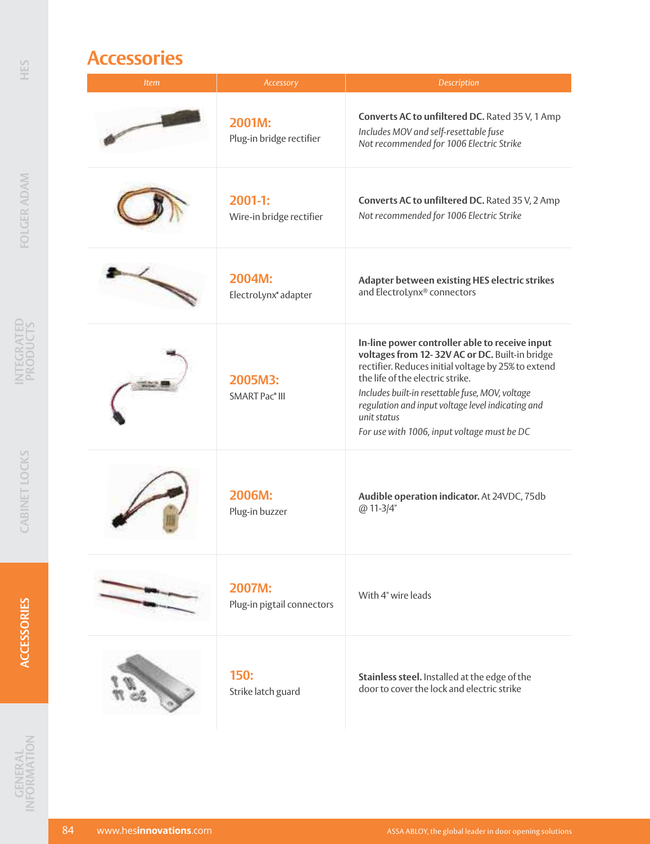## **Accessories**

| Item | Accessory                                   | Description                                                                                                                                                                                                                                                                                                                                                       |
|------|---------------------------------------------|-------------------------------------------------------------------------------------------------------------------------------------------------------------------------------------------------------------------------------------------------------------------------------------------------------------------------------------------------------------------|
|      | 2001M:<br>Plug-in bridge rectifier          | Converts AC to unfiltered DC. Rated 35 V, 1 Amp<br>Includes MOV and self-resettable fuse<br>Not recommended for 1006 Electric Strike                                                                                                                                                                                                                              |
|      | $2001-1:$<br>Wire-in bridge rectifier       | Converts AC to unfiltered DC. Rated 35 V, 2 Amp<br>Not recommended for 1006 Electric Strike                                                                                                                                                                                                                                                                       |
|      | 2004M:<br>ElectroLynx® adapter              | Adapter between existing HES electric strikes<br>and ElectroLynx® connectors                                                                                                                                                                                                                                                                                      |
|      | 2005M3:<br><b>SMART Pac<sup>®</sup> III</b> | In-line power controller able to receive input<br>voltages from 12-32V AC or DC. Built-in bridge<br>rectifier. Reduces initial voltage by 25% to extend<br>the life of the electric strike.<br>Includes built-in resettable fuse, MOV, voltage<br>regulation and input voltage level indicating and<br>unit status<br>For use with 1006, input voltage must be DC |
|      | 2006M:<br>Plug-in buzzer                    | Audible operation indicator. At 24VDC, 75db<br>@ 11-3/4"                                                                                                                                                                                                                                                                                                          |
|      | 2007M:<br>Plug-in pigtail connectors        | With 4" wire leads                                                                                                                                                                                                                                                                                                                                                |
|      | 150:<br>Strike latch guard                  | Stainless steel. Installed at the edge of the<br>door to cover the lock and electric strike                                                                                                                                                                                                                                                                       |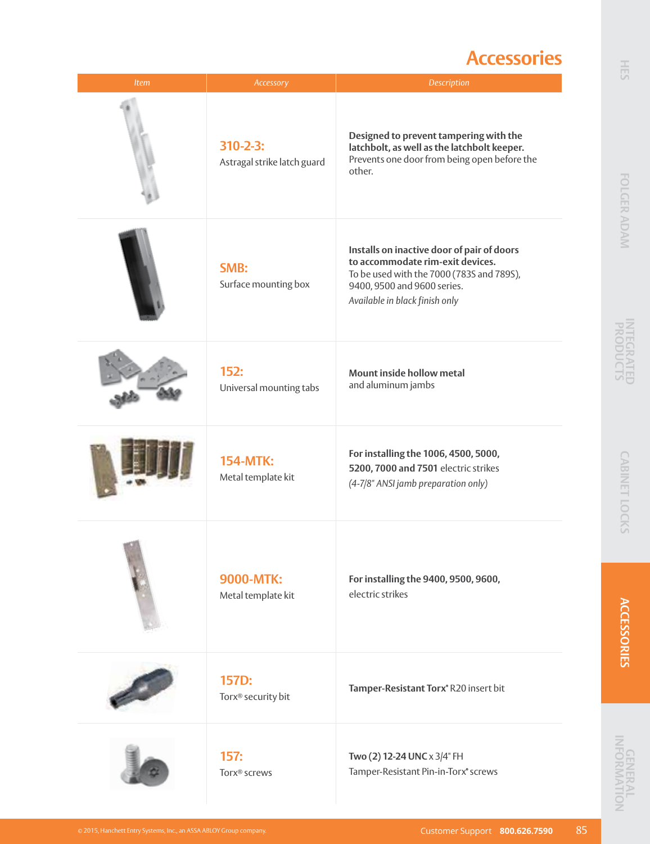### **Accessories**

| Item | Accessory                                     | Description                                                                                                                                                                                  |
|------|-----------------------------------------------|----------------------------------------------------------------------------------------------------------------------------------------------------------------------------------------------|
|      | $310 - 2 - 3:$<br>Astragal strike latch guard | Designed to prevent tampering with the<br>latchbolt, as well as the latchbolt keeper.<br>Prevents one door from being open before the<br>other.                                              |
|      | SMB:<br>Surface mounting box                  | Installs on inactive door of pair of doors<br>to accommodate rim-exit devices.<br>To be used with the 7000 (783S and 789S),<br>9400, 9500 and 9600 series.<br>Available in black finish only |
|      | 152:<br>Universal mounting tabs               | Mount inside hollow metal<br>and aluminum jambs                                                                                                                                              |
|      | <b>154-MTK:</b><br>Metal template kit         | For installing the 1006, 4500, 5000,<br>5200, 7000 and 7501 electric strikes<br>(4-7/8" ANSI jamb preparation only)                                                                          |
|      | 9000-MTK:<br>Metal template kit               | For installing the 9400, 9500, 9600,<br>electric strikes                                                                                                                                     |
|      | 157D:<br>Torx <sup>®</sup> security bit       | Tamper-Resistant Torx® R20 insert bit                                                                                                                                                        |
|      | 157:<br>Torx <sup>®</sup> screws              | Two (2) 12-24 UNC x 3/4" FH<br>Tamper-Resistant Pin-in-Torx® screws                                                                                                                          |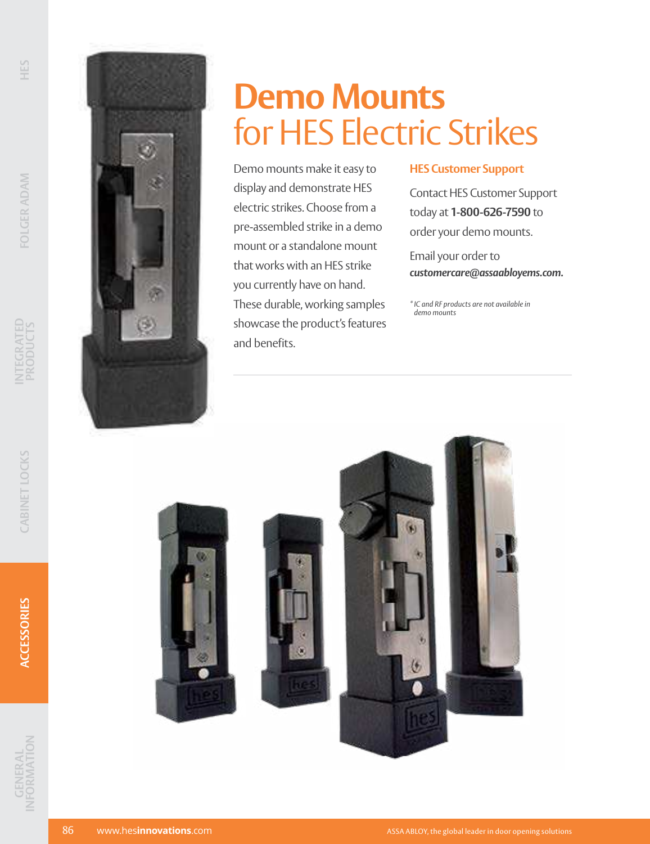

# **Demo Mounts** for HES Electric Strikes

Demo mounts make it easy to display and demonstrate HES electric strikes. Choose from a pre-assembled strike in a demo mount or a standalone mount that works with an HES strike you currently have on hand. These durable, working samples showcase the product's features and benefits.

#### **HES Customer Support**

Contact HES Customer Support today at **1-800-626-7590** to order your demo mounts.

Email your order to *customercare@assaabloyems.com.*

*\* IC and RF products are not available in demo mounts*